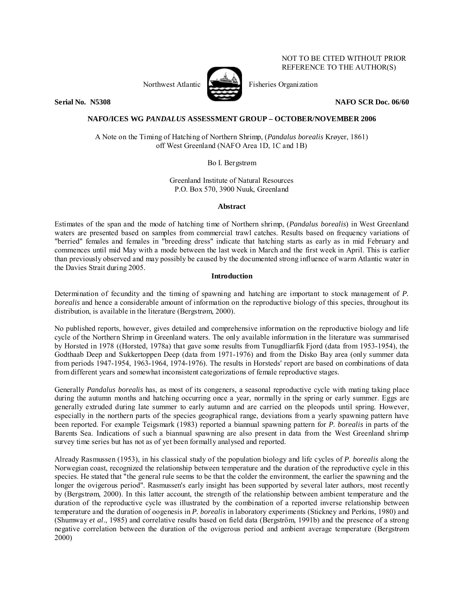Northwest Atlantic  $\sum_{n=1}^{\infty}$  Fisheries Organization



NOT TO BE CITED WITHOUT PRIOR REFERENCE TO THE AUTHOR(S)

**Serial No. N5308 NAFO SCR Doc. 06/60** 

# **NAFO/ICES WG** *PANDALUS* **ASSESSMENT GROUP – OCTOBER/NOVEMBER 2006**

A Note on the Timing of Hatching of Northern Shrimp, (*Pandalus borealis* Krøyer, 1861) off West Greenland (NAFO Area 1D, 1C and 1B)

Bo I. Bergstrøm

Greenland Institute of Natural Resources P.O. Box 570, 3900 Nuuk, Greenland

# **Abstract**

Estimates of the span and the mode of hatching time of Northern shrimp, (*Pandalus borealis*) in West Greenland waters are presented based on samples from commercial trawl catches. Results based on frequency variations of "berried" females and females in "breeding dress" indicate that hatching starts as early as in mid February and commences until mid May with a mode between the last week in March and the first week in April. This is earlier than previously observed and may possibly be caused by the documented strong influence of warm Atlantic water in the Davies Strait during 2005.

# **Introduction**

Determination of fecundity and the timing of spawning and hatching are important to stock management of *P. borealis* and hence a considerable amount of information on the reproductive biology of this species, throughout its distribution, is available in the literature (Bergstrøm, 2000).

No published reports, however, gives detailed and comprehensive information on the reproductive biology and life cycle of the Northern Shrimp in Greenland waters. The only available information in the literature was summarised by Horsted in 1978 ((Horsted, 1978a) that gave some results from Tunugdliarfik Fjord (data from 1953-1954), the Godthaab Deep and Sukkertoppen Deep (data from 1971-1976) and from the Disko Bay area (only summer data from periods 1947-1954, 1963-1964, 1974-1976). The results in Horsteds' report are based on combinations of data from different years and somewhat inconsistent categorizations of female reproductive stages.

Generally *Pandalus borealis* has, as most of its congeners, a seasonal reproductive cycle with mating taking place during the autumn months and hatching occurring once a year, normally in the spring or early summer. Eggs are generally extruded during late summer to early autumn and are carried on the pleopods until spring. However, especially in the northern parts of the species geographical range, deviations from a yearly spawning pattern have been reported. For example Teigsmark (1983) reported a biannual spawning pattern for *P. borealis* in parts of the Barents Sea. Indications of such a biannual spawning are also present in data from the West Greenland shrimp survey time series but has not as of yet been formally analysed and reported.

Already Rasmussen (1953), in his classical study of the population biology and life cycles of *P. borealis* along the Norwegian coast, recognized the relationship between temperature and the duration of the reproductive cycle in this species. He stated that "the general rule seems to be that the colder the environment, the earlier the spawning and the longer the ovigerous period". Rasmussen's early insight has been supported by several later authors, most recently by (Bergstrøm, 2000). In this latter account, the strength of the relationship between ambient temperature and the duration of the reproductive cycle was illustrated by the combination of a reported inverse relationship between temperature and the duration of oogenesis in *P. borealis* in laboratory experiments (Stickney and Perkins, 1980) and (Shumway *et al*., 1985) and correlative results based on field data (Bergström, 1991b) and the presence of a strong negative correlation between the duration of the ovigerous period and ambient average temperature (Bergstrøm 2000)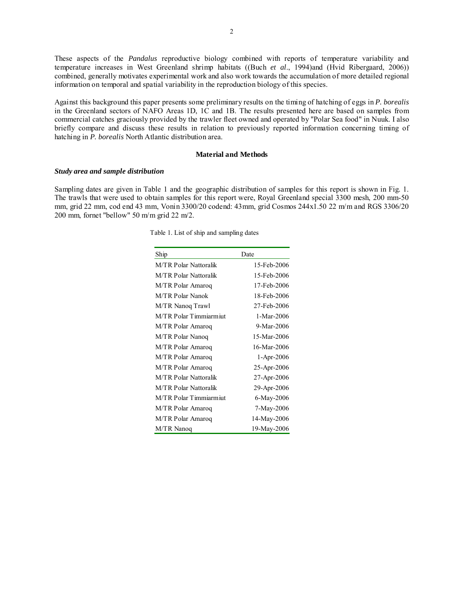These aspects of the *Pandalus* reproductive biology combined with reports of temperature variability and temperature increases in West Greenland shrimp habitats ((Buch *et al*., 1994)and (Hvid Ribergaard, 2006)) combined, generally motivates experimental work and also work towards the accumulation of more detailed regional information on temporal and spatial variability in the reproduction biology of this species.

Against this background this paper presents some preliminary results on the timing of hatching of eggs in *P. borealis*  in the Greenland sectors of NAFO Areas 1D, 1C and 1B. The results presented here are based on samples from commercial catches graciously provided by the trawler fleet owned and operated by "Polar Sea food" in Nuuk. I also briefly compare and discuss these results in relation to previously reported information concerning timing of hatching in *P. borealis* North Atlantic distribution area.

## **Material and Methods**

#### *Study area and sample distribution*

Sampling dates are given in Table 1 and the geographic distribution of samples for this report is shown in Fig. 1. The trawls that were used to obtain samples for this report were, Royal Greenland special 3300 mesh, 200 mm-50 mm, grid 22 mm, cod end 43 mm, Vonin 3300/20 codend: 43mm, grid Cosmos 244x1.50 22 m/m and RGS 3306/20 200 mm, fornet "bellow" 50 m/m grid 22 m/2.

Table 1. List of ship and sampling dates

| Ship                         | Date         |  |
|------------------------------|--------------|--|
| <b>M/TR Polar Nattoralik</b> | 15-Feb-2006  |  |
| M/TR Polar Nattoralik        | 15-Feb-2006  |  |
| M/TR Polar Amaroq            | 17-Feb-2006  |  |
| M/TR Polar Nanok             | 18-Feb-2006  |  |
| M/TR Nanoq Trawl             | 27-Feb-2006  |  |
| M/TR Polar Timmiarmiut       | 1-Mar-2006   |  |
| M/TR Polar Amaroq            | 9-Mar-2006   |  |
| M/TR Polar Nanoq             | 15-Mar-2006  |  |
| M/TR Polar Amaroq            | 16-Mar-2006  |  |
| M/TR Polar Amaroq            | $1-Apr-2006$ |  |
| M/TR Polar Amaroq            | 25-Apr-2006  |  |
| M/TR Polar Nattoralik        | 27-Apr-2006  |  |
| <b>M/TR Polar Nattoralik</b> | 29-Apr-2006  |  |
| M/TR Polar Timmiarmiut       | 6-May-2006   |  |
| M/TR Polar Amaroq            | 7-May-2006   |  |
| M/TR Polar Amaroq            | 14-May-2006  |  |
| M/TR Nanoq                   | 19-May-2006  |  |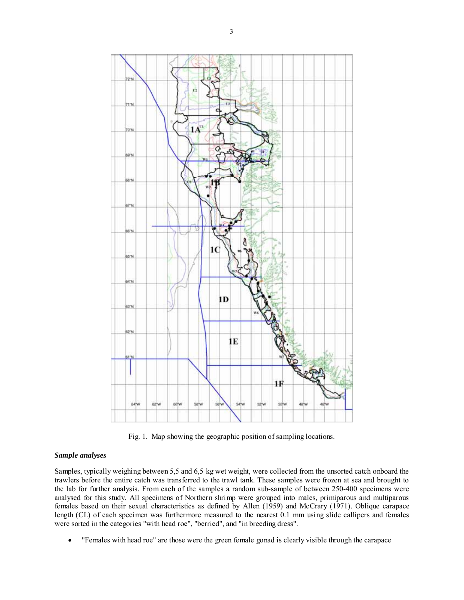

Fig. 1. Map showing the geographic position of sampling locations.

### *Sample analyses*

Samples, typically weighing between 5,5 and 6,5 kg wet weight, were collected from the unsorted catch onboard the trawlers before the entire catch was transferred to the trawl tank. These samples were frozen at sea and brought to the lab for further analysis. From each of the samples a random sub-sample of between 250-400 specimens were analysed for this study. All specimens of Northern shrimp were grouped into males, primiparous and multiparous females based on their sexual characteristics as defined by Allen (1959) and McCrary (1971). Oblique carapace length (CL) of each specimen was furthermore measured to the nearest 0.1 mm using slide callipers and females were sorted in the categories "with head roe", "berried", and "in breeding dress".

• "Females with head roe" are those were the green female gonad is clearly visible through the carapace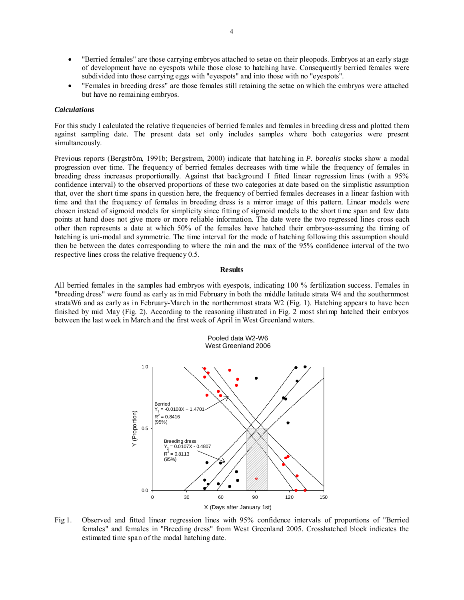- "Berried females" are those carrying embryos attached to setae on their pleopods. Embryos at an early stage of development have no eyespots while those close to hatching have. Consequently berried females were subdivided into those carrying eggs with "eyespots" and into those with no "eyespots".
- "Females in breeding dress" are those females still retaining the setae on which the embryos were attached but have no remaining embryos.

#### *Calculations*

For this study I calculated the relative frequencies of berried females and females in breeding dress and plotted them against sampling date. The present data set only includes samples where both categories were present simultaneously.

Previous reports (Bergström, 1991b; Bergstrøm, 2000) indicate that hatching in *P. borealis* stocks show a modal progression over time. The frequency of berried females decreases with time while the frequency of females in breeding dress increases proportionally. Against that background I fitted linear regression lines (with a 95% confidence interval) to the observed proportions of these two categories at date based on the simplistic assumption that, over the short time spans in question here, the frequency of berried females decreases in a linear fashion with time and that the frequency of females in breeding dress is a mirror image of this pattern. Linear models were chosen instead of sigmoid models for simplicity since fitting of sigmoid models to the short time span and few data points at hand does not give more or more reliable information. The date were the two regressed lines cross each other then represents a date at which 50% of the females have hatched their embryos-assuming the timing of hatching is uni-modal and symmetric. The time interval for the mode of hatching following this assumption should then be between the dates corresponding to where the min and the max of the 95% confidence interval of the two respective lines cross the relative frequency 0.5.

#### **Results**

All berried females in the samples had embryos with eyespots, indicating 100 % fertilization success. Females in "breeding dress" were found as early as in mid February in both the middle latitude strata W4 and the southernmost strataW6 and as early as in February-March in the northernmost strata W2 (Fig. 1). Hatching appears to have been finished by mid May (Fig. 2). According to the reasoning illustrated in Fig. 2 most shrimp hatched their embryos between the last week in March and the first week of April in West Greenland waters.

Pooled data W2-W6



Fig 1. Observed and fitted linear regression lines with 95% confidence intervals of proportions of "Berried females" and females in "Breeding dress" from West Greenland 2005. Crosshatched block indicates the estimated time span of the modal hatching date.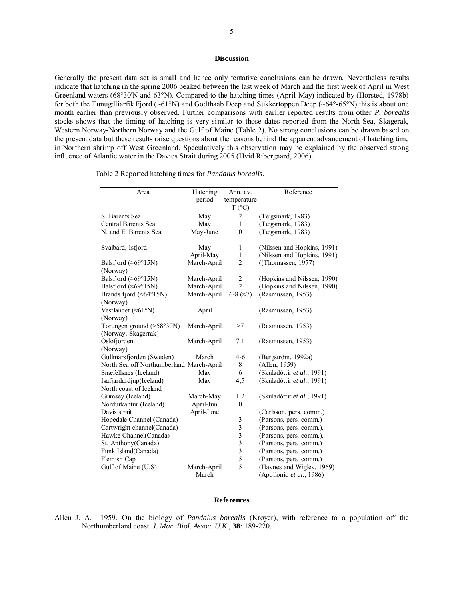# **Discussion**

Generally the present data set is small and hence only tentative conclusions can be drawn. Nevertheless results indicate that hatching in the spring 2006 peaked between the last week of March and the first week of April in West Greenland waters (68°30'N and 63°N). Compared to the hatching times (April-May) indicated by (Horsted, 1978b) for both the Tunugdliarfik Fjord (~61°N) and Godthaab Deep and Sukkertoppen Deep (~64°-65°N) this is about one month earlier than previously observed. Further comparisons with earlier reported results from other *P. borealis*  stocks shows that the timing of hatching is very similar to those dates reported from the North Sea, Skagerak, Western Norway-Northern Norway and the Gulf of Maine (Table 2). No strong conclusions can be drawn based on the present data but these results raise questions about the reasons behind the apparent advancement of hatching time in Northern shrimp off West Greenland. Speculatively this observation may be explained by the observed strong influence of Atlantic water in the Davies Strait during 2005 (Hvid Ribergaard, 2006).

| Area                                                 | Hatching    | Ann. av.                       | Reference                                         |
|------------------------------------------------------|-------------|--------------------------------|---------------------------------------------------|
|                                                      | period      | temperature<br>$T (^{\circ}C)$ |                                                   |
| S. Barents Sea                                       | May         | 2                              | (Teigsmark, 1983)                                 |
| <b>Central Barents Sea</b>                           | May         | $\mathbf{1}$                   | (Teigsmark, 1983)                                 |
| N. and E. Barents Sea                                | May-June    | $\mathbf{0}$                   | (Teigsmark, 1983)                                 |
| Svalbard, Isfjord                                    | May         | $\mathbf{1}$                   | (Nilssen and Hopkins, 1991)                       |
|                                                      | April-May   | $\mathbf{1}$                   | (Nilssen and Hopkins, 1991)                       |
| Balsfjord ( $\approx 69^{\circ}15N$ )<br>(Norway)    | March-April | $\overline{c}$                 | $($ Thomassen, 1977)                              |
| Balsfjord ( $\approx 69^{\circ}15N$ )                | March-April | 2                              | (Hopkins and Nilssen, 1990)                       |
| Balsfjord ( $\approx 69^{\circ}15N$ )                | March-April | $\overline{2}$                 | (Hopkins and Nilssen, 1990)                       |
| Brands fjord ( $\approx 64^{\circ}15N$ )<br>(Norway) | March-April | 6-8 $(\approx 7)$              | (Rasmussen, 1953)                                 |
| Vestlandet ( $\approx 61^{\circ}$ N)<br>(Norway)     | April       |                                | (Rasmussen, 1953)                                 |
| Torungen ground ( $\approx$ 58°30N)                  | March-April | $\approx$ 7                    | (Rasmussen, 1953)                                 |
| (Norway, Skagerrak)                                  |             |                                |                                                   |
| Oslofjorden                                          | March-April | 7.1                            | (Rasmussen, 1953)                                 |
| (Norway)                                             |             |                                |                                                   |
| Gullmarsfjorden (Sweden)                             | March       | $4-6$                          | (Bergström, 1992a)                                |
| North Sea off Northumberland March-April             |             | 8                              | (Allen, 1959)                                     |
| Snæfellsnes (Iceland)                                | May         | 6                              | (Skúladóttir et al., 1991)                        |
| Isafjardardjup(Iceland)<br>North coast of Iceland    | May         | 4,5                            | (Skúladóttir et al., 1991)                        |
|                                                      |             | 1.2                            |                                                   |
| Grimsey (Iceland)                                    | March-May   | $\theta$                       | (Skúladóttir et al., 1991)                        |
| Nordurkantur (Iceland)<br>Davis strait               | April-Jun   |                                |                                                   |
| Hopedale Channel (Canada)                            | April-June  | 3                              | (Carlsson, pers. comm.)<br>(Parsons, pers. comm.) |
| Cartwright channel(Canada)                           |             | 3                              | (Parsons, pers. comm.).                           |
| Hawke Channel(Canada)                                |             |                                | (Parsons, pers. comm.).                           |
| St. Anthony (Canada)                                 |             | $\frac{3}{3}$                  | (Parsons, pers. comm.)                            |
| Funk Island(Canada)                                  |             | $\overline{\mathbf{3}}$        | (Parsons, pers. comm.)                            |
| Flemish Cap                                          |             | 5                              | (Parsons, pers. comm.)                            |
| Gulf of Maine (U.S)                                  | March-April | 5                              | (Haynes and Wigley, 1969)                         |
|                                                      | March       |                                | (Apollonio et al., 1986)                          |

Table 2 Reported hatching times for *Pandalus borealis.*

#### **References**

Allen J. A. 1959. On the biology of *Pandalus borealis* (Krøyer), with reference to a population off the Northumberland coast. *J. Mar. Biol. Assoc. U.K*., **38**: 189-220.